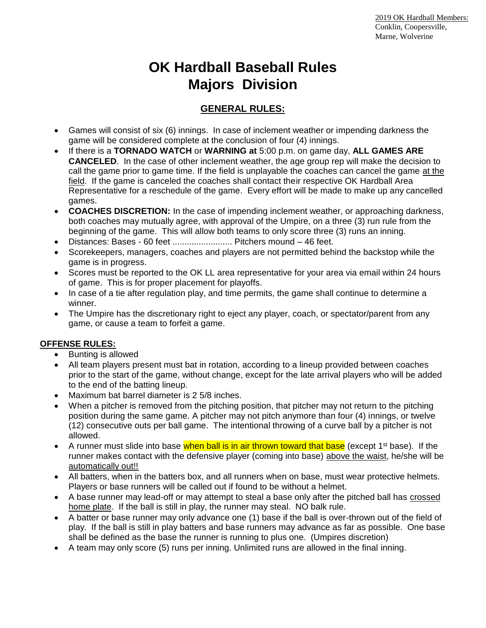# **OK Hardball Baseball Rules Majors Division**

## **GENERAL RULES:**

- Games will consist of six (6) innings. In case of inclement weather or impending darkness the game will be considered complete at the conclusion of four (4) innings.
- If there is a **TORNADO WATCH** or **WARNING at** 5:00 p.m. on game day, **ALL GAMES ARE CANCELED**. In the case of other inclement weather, the age group rep will make the decision to call the game prior to game time. If the field is unplayable the coaches can cancel the game at the field. If the game is canceled the coaches shall contact their respective OK Hardball Area Representative for a reschedule of the game. Every effort will be made to make up any cancelled games.
- **COACHES DISCRETION:** In the case of impending inclement weather, or approaching darkness, both coaches may mutually agree, with approval of the Umpire, on a three (3) run rule from the beginning of the game. This will allow both teams to only score three (3) runs an inning.
- Distances: Bases 60 feet ......................... Pitchers mound 46 feet.
- Scorekeepers, managers, coaches and players are not permitted behind the backstop while the game is in progress.
- Scores must be reported to the OK LL area representative for your area via email within 24 hours of game. This is for proper placement for playoffs.
- In case of a tie after regulation play, and time permits, the game shall continue to determine a winner.
- The Umpire has the discretionary right to eject any player, coach, or spectator/parent from any game, or cause a team to forfeit a game.

## **OFFENSE RULES:**

- Bunting is allowed
- All team players present must bat in rotation, according to a lineup provided between coaches prior to the start of the game, without change, except for the late arrival players who will be added to the end of the batting lineup.
- Maximum bat barrel diameter is 2 5/8 inches.
- When a pitcher is removed from the pitching position, that pitcher may not return to the pitching position during the same game. A pitcher may not pitch anymore than four (4) innings, or twelve (12) consecutive outs per ball game. The intentional throwing of a curve ball by a pitcher is not allowed.
- A runner must slide into base when ball is in air thrown toward that base (except  $1<sup>st</sup>$  base). If the runner makes contact with the defensive player (coming into base) above the waist, he/she will be automatically out!!
- All batters, when in the batters box, and all runners when on base, must wear protective helmets. Players or base runners will be called out if found to be without a helmet.
- A base runner may lead-off or may attempt to steal a base only after the pitched ball has crossed home plate. If the ball is still in play, the runner may steal. NO balk rule.
- A batter or base runner may only advance one (1) base if the ball is over-thrown out of the field of play. If the ball is still in play batters and base runners may advance as far as possible. One base shall be defined as the base the runner is running to plus one. (Umpires discretion)
- A team may only score (5) runs per inning. Unlimited runs are allowed in the final inning.